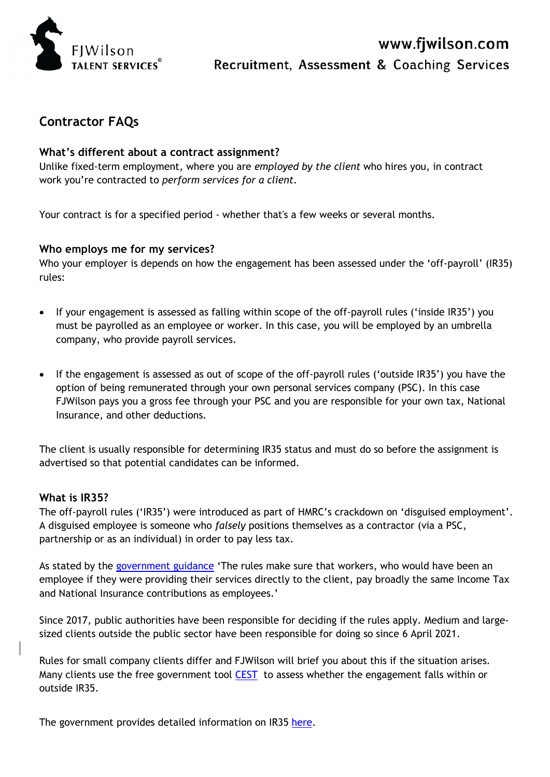

# **Contractor FAQs**

#### **What's different about a contract assignment?**

Unlike fixed-term employment, where you are *employed by the client* who hires you, in contract work you're contracted to *perform services for a client.*

Your contract is for a specified period - whether that's a few weeks or several months.

#### **Who employs me for my services?**

Who your employer is depends on how the engagement has been assessed under the 'off-payroll' (IR35) rules:

- If your engagement is assessed as falling within scope of the off-payroll rules ('inside IR35') you must be payrolled as an employee or worker. In this case, you will be employed by an umbrella company, who provide payroll services.
- If the engagement is assessed as out of scope of the off-payroll rules ('outside IR35') you have the option of being remunerated through your own personal services company (PSC). In this case FJWilson pays you a gross fee through your PSC and you are responsible for your own tax, National Insurance, and other deductions.

The client is usually responsible for determining IR35 status and must do so before the assignment is advertised so that potential candidates can be informed.

#### **What is IR35?**

The off-payroll rules ('IR35') were introduced as part of HMRC's crackdown on 'disguised employment'. A disguised employee is someone who *falsely* positions themselves as a contractor (via a PSC, partnership or as an individual) in order to pay less tax.

As stated by the [government guidance](https://www.gov.uk/guidance/understanding-off-payroll-working-ir35) 'The rules make sure that workers, who would have been an employee if they were providing their services directly to the client, pay broadly the same Income Tax and National Insurance contributions as employees.'

Since 2017, public authorities have been responsible for deciding if the rules apply. Medium and largesized clients outside the public sector have been responsible for doing so since 6 April 2021.

Rules for small company clients differ and FJWilson will brief you about this if the situation arises. Many clients use the free government tool [CEST](https://www.gov.uk/guidance/check-employment-status-for-tax) to assess whether the engagement falls within or outside IR35.

The government provides detailed information on IR35 [here.](https://www.gov.uk/topic/business-tax/ir35)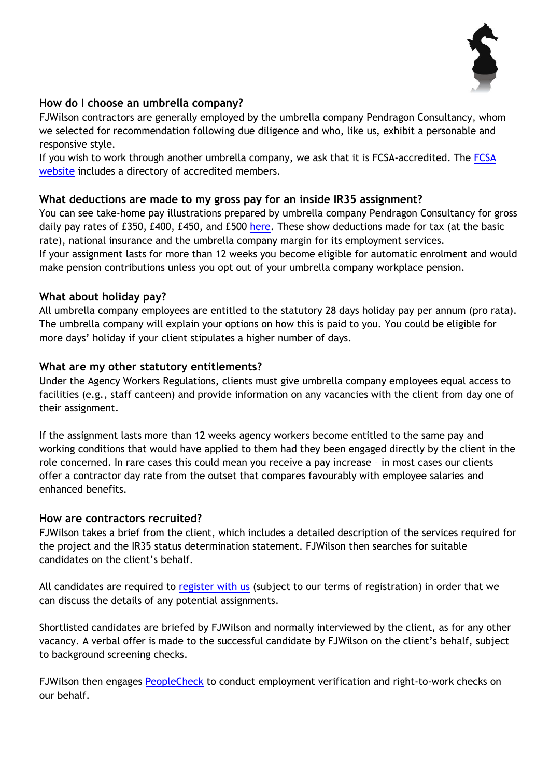

## **How do I choose an umbrella company?**

FJWilson contractors are generally employed by the umbrella company Pendragon Consultancy, whom we selected for recommendation following due diligence and who, like us, exhibit a personable and responsive style.

If you wish to work through another umbrella company, we ask that it is FCSA-accredited. The FCSA [website](https://www.fcsa.org.uk/) includes a directory of accredited members.

# **What deductions are made to my gross pay for an inside IR35 assignment?**

You can see take-home pay illustrations prepared by umbrella company Pendragon Consultancy for gross daily pay rates of £350, £400, £450, and £500 [here.](https://www.fjwilson.com/candidates/) These show deductions made for tax (at the basic rate), national insurance and the umbrella company margin for its employment services. If your assignment lasts for more than 12 weeks you become eligible for automatic enrolment and would make pension contributions unless you opt out of your umbrella company workplace pension.

### **What about holiday pay?**

All umbrella company employees are entitled to the statutory 28 days holiday pay per annum (pro rata). The umbrella company will explain your options on how this is paid to you. You could be eligible for more days' holiday if your client stipulates a higher number of days.

# **What are my other statutory entitlements?**

Under the Agency Workers Regulations, clients must give umbrella company employees equal access to facilities (e.g., staff canteen) and provide information on any vacancies with the client from day one of their assignment.

If the assignment lasts more than 12 weeks agency workers become entitled to the same pay and working conditions that would have applied to them had they been engaged directly by the client in the role concerned. In rare cases this could mean you receive a pay increase – in most cases our clients offer a contractor day rate from the outset that compares favourably with employee salaries and enhanced benefits.

### **How are contractors recruited?**

FJWilson takes a brief from the client, which includes a detailed description of the services required for the project and the IR35 status determination statement. FJWilson then searches for suitable candidates on the client's behalf.

All candidates are required to [register with us](https://www.fjwilson.com/register/) (subject to our terms of registration) in order that we can discuss the details of any potential assignments.

Shortlisted candidates are briefed by FJWilson and normally interviewed by the client, as for any other vacancy. A verbal offer is made to the successful candidate by FJWilson on the client's behalf, subject to background screening checks.

FJWilson then engages [PeopleCheck](https://www.peoplecheck.co.uk/) to conduct employment verification and right-to-work checks on our behalf.